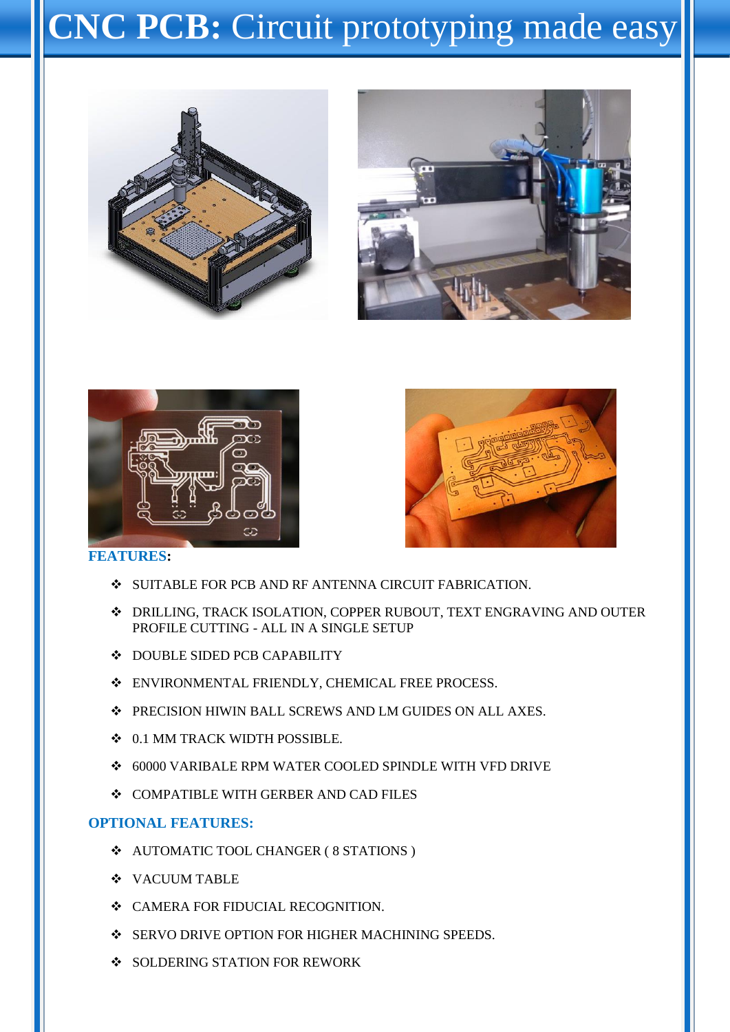# **CNC PCB:** Circuit prototyping made easy









### **FEATURES:**

- $\div$  SUITABLE FOR PCB AND RF ANTENNA CIRCUIT FABRICATION.
- DRILLING, TRACK ISOLATION, COPPER RUBOUT, TEXT ENGRAVING AND OUTER PROFILE CUTTING - ALL IN A SINGLE SETUP
- $\bullet$  DOUBLE SIDED PCB CAPABILITY
- ENVIRONMENTAL FRIENDLY, CHEMICAL FREE PROCESS.
- PRECISION HIWIN BALL SCREWS AND LM GUIDES ON ALL AXES.
- $\div$  0.1 MM TRACK WIDTH POSSIBLE.
- 60000 VARIBALE RPM WATER COOLED SPINDLE WITH VFD DRIVE
- $\div$  **COMPATIBLE WITH GERBER AND CAD FILES**

#### **OPTIONAL FEATURES:**

- AUTOMATIC TOOL CHANGER ( 8 STATIONS )
- **VACUUM TABLE**
- $\div$  CAMERA FOR FIDUCIAL RECOGNITION.
- **SERVO DRIVE OPTION FOR HIGHER MACHINING SPEEDS.**
- SOLDERING STATION FOR REWORK